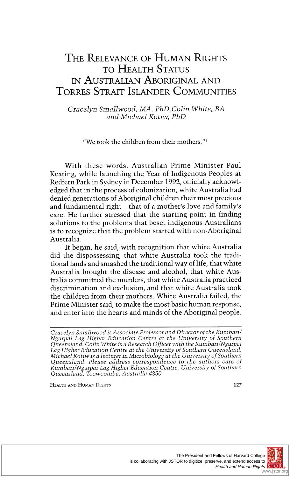# **THE RELEVANCE OF HUMAN RIGHTS TO HEALTH STATUS IN AUSTRALIAN ABORIGINAL AND TORRES STRAIT ISLANDER COMMUNITIES**

**Gracelyn Smallwood, MA, PhD,Colin White, BA and Michael Kotiw, PhD** 

**"We took the children from their mothers."'** 

**With these words, Australian Prime Minister Paul Keating, while launching the Year of Indigenous Peoples at Redfern Park in Sydney in December 1992, officially acknowledged that in the process of colonization, white Australia had denied generations of Aboriginal children their most precious**  and fundamental right-that of a mother's love and family's **care. He further stressed that the starting point in finding solutions to the problems that beset indigenous Australians is to recognize that the problem started with non-Aboriginal Australia.** 

**It began, he said, with recognition that white Australia did the dispossessing, that white Australia took the traditional lands and smashed the traditional way of life, that white Australia brought the disease and alcohol, that white Australia committed the murders, that white Australia practiced discrimination and exclusion, and that white Australia took the children from their mothers. White Australia failed, the Prime Minister said, to make the most basic human response, and enter into the hearts and minds of the Aboriginal people.** 

**HEALTH AND HUMAN RIGHTS 127** 



**Gracelyn Smallwood is Associate Professor and Director of the Kumbaril Ngurpai Lag Higher Education Centre at the University of Southern Queensland. Colin White is a Research Officer with the Kumbari/Ngurpai Lag Higher Education Centre at the University of Southern Queensland. Michael Kotiwis a lecturer in Microbiology at the University of Southern Queensland. Please address correspondence to the authors care of Kumbari/Ngurpai Lag Higher Education Centre, University of Southern Queensland, Toowoomba, Australia 4350.**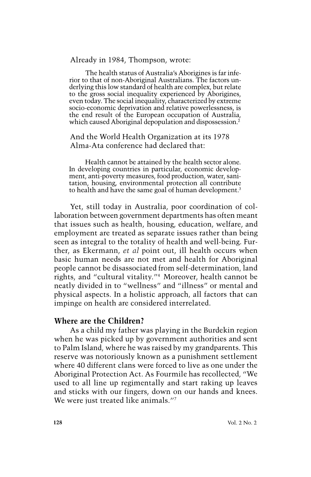#### **Already in 1984, Thompson, wrote:**

**The health status of Australia's Aborigines is far inferior to that of non-Aboriginal Australians. The factors underlying this low standard of health are complex, but relate to the gross social inequality experienced by Aborigines, even today. The social inequality, characterized by extreme socio-economic deprivation and relative powerlessness, is the end result of the European occupation of Australia, which caused Aboriginal depopulation and dispossession.2** 

## **And the World Health Organization at its 1978 Alma-Ata conference had declared that:**

**Health cannot be attained by the health sector alone. In developing countries in particular, economic development, anti-poverty measures, food production, water, sanitation, housing, environmental protection all contribute to health and have the same goal of human development.3** 

**Yet, still today in Australia, poor coordination of collaboration between government departments has often meant that issues such as health, housing, education, welfare, and employment are treated as separate issues rather than being seen as integral to the totality of health and well-being. Further, as Ekermann, et al point out, ill health occurs when basic human needs are not met and health for Aboriginal people cannot be disassociated from self-determination, land rights, and "cultural vitality."4 Moreover, health cannot be**  neatly divided in to "wellness" and "illness" or mental and **physical aspects. In a holistic approach, all factors that can impinge on health are considered interrelated.** 

# **Where are the Children?**

**As a child my father was playing in the Burdekin region when he was picked up by government authorities and sent to Palm Island, where he was raised by my grandparents. This reserve was notoriously known as a punishment settlement where 40 different clans were forced to live as one under the Aboriginal Protection Act. As Fourmile has recollected, "We used to all line up regimentally and start raking up leaves and sticks with our fingers, down on our hands and knees. We were just treated like animals."7**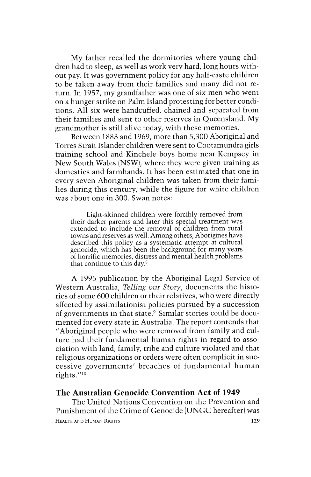**My father recalled the dormitories where young children had to sleep, as well as work very hard, long hours without pay. It was government policy for any half-caste children to be taken away from their families and many did not return. In 1957, my grandfather was one of six men who went on a hunger strike on Palm Island protesting for better conditions. All six were handcuffed, chained and separated from their families and sent to other reserves in Queensland. My grandmother is still alive today, with these memories.** 

**Between 1883 and 1969, more than 5,300 Aboriginal and Torres Strait Islander children were sent to Cootamundra girls training school and Kinchele boys home near Kempsey in New South Wales (NSW), where they were given training as domestics and farmhands. It has been estimated that one in every seven Aboriginal children was taken from their families during this century, while the figure for white children was about one in 300. Swan notes:** 

**Light-skinned children were forcibly removed from their darker parents and later this special treatment was extended to include the removal of children from rural towns and reserves as well. Among others, Aborigines have described this policy as a systematic attempt at cultural genocide, which has been the background for many years of horrific memories, distress and mental health problems that continue to this day.8** 

**A 1995 publication by the Aboriginal Legal Service of Western Australia, Telling our Story, documents the histories of some 600 children or their relatives, who were directly affected by assimilationist policies pursued by a succession of governments in that state.9 Similar stories could be documented for every state in Australia. The report contends that "Aboriginal people who were removed from family and culture had their fundamental human rights in regard to association with land, family, tribe and culture violated and that religious organizations or orders were often complicit in successive governments' breaches of fundamental human**  rights."<sup>10</sup>

### **The Australian Genocide Convention Act of 1949**

**The United Nations Convention on the Prevention and Punishment of the Crime of Genocide (UNGC hereafter) was HEALTH AND HUMAN RIGHTS 129**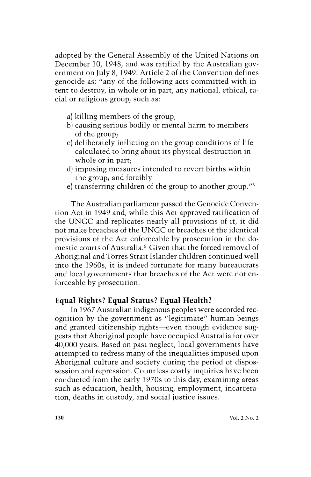**adopted by the General Assembly of the United Nations on December 10, 1948, and was ratified by the Australian government on July 8, 1949. Article 2 of the Convention defines genocide as: "any of the following acts committed with intent to destroy, in whole or in part, any national, ethical, racial or religious group, such as:** 

- **a) killing members of the group;**
- **b) causing serious bodily or mental harm to members of the group;**
- **c) deliberately inflicting on the group conditions of life calculated to bring about its physical destruction in whole or in part;**
- **d) imposing measures intended to revert births within the group; and forcibly**
- **e) transferring children of the group to another group."5**

**The Australian parliament passed the Genocide Convention Act in 1949 and, while this Act approved ratification of the UNGC and replicates nearly all provisions of it, it did not make breaches of the UNGC or breaches of the identical provisions of the Act enforceable by prosecution in the domestic courts of Australia.6 Given that the forced removal of Aboriginal and Torres Strait Islander children continued well into the 1960s, it is indeed fortunate for many bureaucrats and local governments that breaches of the Act were not enforceable by prosecution.** 

#### **Equal Rights? Equal Status? Equal Health?**

**In 1967 Australian indigenous peoples were accorded recognition by the government as "legitimate" human beings**  and granted citizenship rights—even though evidence sug**gests that Aboriginal people have occupied Australia for over 40,000 years. Based on past neglect, local governments have attempted to redress many of the inequalities imposed upon Aboriginal culture and society during the period of dispossession and repression. Countless costly inquiries have been conducted from the early 1970s to this day, examining areas such as education, health, housing, employment, incarceration, deaths in custody, and social justice issues.**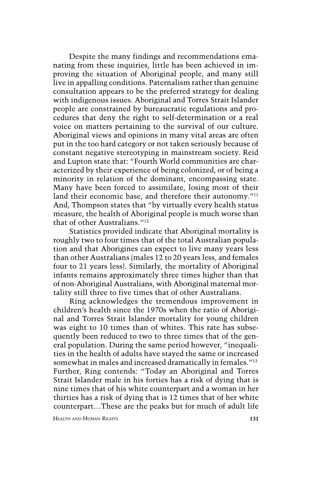**Despite the many findings and recommendations emanating from these inquiries, little has been achieved in improving the situation of Aboriginal people, and many still live in appalling conditions. Paternalism rather than genuine consultation appears to be the preferred strategy for dealing with indigenous issues. Aboriginal and Torres Strait Islander people are constrained by bureaucratic regulations and procedures that deny the right to self-determination or a real voice on matters pertaining to the survival of our culture. Aboriginal views and opinions in many vital areas are often put in the too hard category or not taken seriously because of constant negative stereotyping in mainstream society. Reid and Lupton state that: "Fourth World communities are characterized by their experience of being colonized, or of being a minority in relation of the dominant, encompassing state. Many have been forced to assimilate, losing most of their**  land their economic base, and therefore their autonomy.<sup>"11</sup> **And, Thompson states that "by virtually every health status measure, the health of Aboriginal people is much worse than that of other Australians. ''2** 

**Statistics provided indicate that Aboriginal mortality is roughly two to four times that of the total Australian population and that Aborigines can expect to live many years less than other Australians (males 12 to 20 years less, and females four to 21 years less). Similarly, the mortality of Aboriginal infants remains approximately three times higher than that of non-Aboriginal Australians, with Aboriginal maternal mortality still three to five times that of other Australians.** 

**Ring acknowledges the tremendous improvement in children's health since the 1970s when the ratio of Aboriginal and Torres Strait Islander mortality for young children was eight to 10 times than of whites. This rate has subsequently been reduced to two to three times that of the general population. During the same period however, "inequalities in the health of adults have stayed the same or increased somewhat in males and increased dramatically in females.''13 Further, Ring contends: "Today an Aboriginal and Torres Strait Islander male in his forties has a risk of dying that is nine times that of his white counterpart and a woman in her thirties has a risk of dying that is 12 times that of her white counterpart.. .These are the peaks but for much of adult life**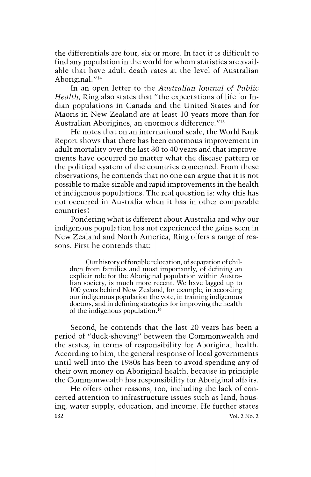**the differentials are four, six or more. In fact it is difficult to find any population in the world for whom statistics are available that have adult death rates at the level of Australian**  Aboriginal.<sup>"14</sup>

**In an open letter to the Australian Journal of Public Health, Ring also states that "the expectations of life for Indian populations in Canada and the United States and for Maoris in New Zealand are at least 10 years more than for Australian Aborigines, an enormous difference."'5** 

**He notes that on an international scale, the World Bank Report shows that there has been enormous improvement in adult mortality over the last 30 to 40 years and that improvements have occurred no matter what the disease pattern or the political system of the countries concerned. From these observations, he contends that no one can argue that it is not possible to make sizable and rapid improvements in the health of indigenous populations. The real question is: why this has not occurred in Australia when it has in other comparable countries?** 

**Pondering what is different about Australia and why our indigenous population has not experienced the gains seen in New Zealand and North America, Ring offers a range of reasons. First he contends that:** 

**Our history of forcible relocation, of separation of children from families and most importantly, of defining an explicit role for the Aboriginal population within Australian society, is much more recent. We have lagged up to 100 years behind New Zealand, for example, in according our indigenous population the vote, in training indigenous doctors, and in defining strategies for improving the health of the indigenous population.'6** 

**Second, he contends that the last 20 years has been a period of "duck-shoving" between the Commonwealth and the states, in terms of responsibility for Aboriginal health. According to him, the general response of local governments until well into the 1980s has been to avoid spending any of their own money on Aboriginal health, because in principle the Commonwealth has responsibility for Aboriginal affairs.** 

**He offers other reasons, too, including the lack of concerted attention to infrastructure issues such as land, housing, water supply, education, and income. He further states 132 Vol. 2 No. 2**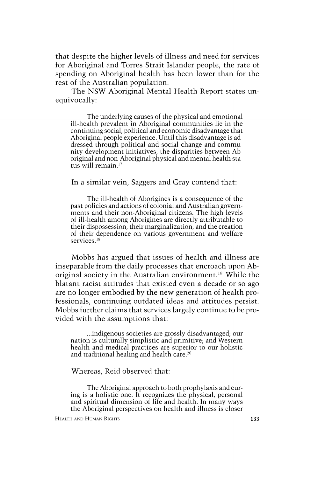**that despite the higher levels of illness and need for services for Aboriginal and Torres Strait Islander people, the rate of spending on Aboriginal health has been lower than for the rest of the Australian population.** 

**The NSW Aboriginal Mental Health Report states unequivocally:** 

**The underlying causes of the physical and emotional ill-health prevalent in Aboriginal communities lie in the continuing social, political and economic disadvantage that Aboriginal people experience. Until this disadvantage isaddressed through political and social change and community development initiatives, the disparities between Aboriginal and non-Aboriginal physical and mental health status will remain.'7** 

**In a similar vein, Saggers and Gray contend that:** 

**The ill-health of Aborigines is a consequence of the past policies and actions of colonial and Australian governments and their non-Aboriginal citizens. The high levels of ill-health among Aborigines are directly attributable to their dispossession, their marginalization, and the creation of their dependence on various government and welfare services.18** 

**Mobbs has argued that issues of health and illness are inseparable from the daily processes that encroach upon Aboriginal society in the Australian environment.'9 While the blatant racist attitudes that existed even a decade or so ago are no longer embodied by the new generation of health professionals, continuing outdated ideas and attitudes persist. Mobbs further claims that services largely continue to be provided with the assumptions that:** 

**...Indigenous societies are grossly disadvantaged; our nation is culturally simplistic and primitive; and Western health and medical practices are superior to our holistic and traditional healing and health care.20** 

**Whereas, Reid observed that:** 

**The Aboriginal approach to both prophylaxis and curing is a holistic one. It recognizes the physical, personal and spiritual dimension of life and health. In many ways the Aboriginal perspectives on health and illness is closer**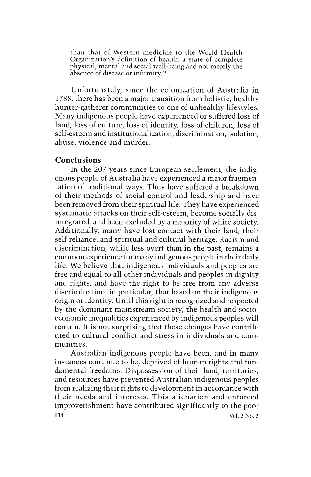**than that of Western medicine to the World Health Organization's definition of health: a state of complete physical, mental and social well-being and not merely the absence of disease or infirmity.21** 

**Unfortunately, since the colonization of Australia in 1788, there has been a major transition from holistic, healthy hunter-gatherer communities to one of unhealthy lifestyles. Many indigenous people have experienced or suffered loss of land, loss of culture, loss of identity, loss of children, loss of self-esteem and institutionalization, discrimination, isolation, abuse, violence and murder.** 

### **Conclusions**

**In the 207 years since European settlement, the indigenous people of Australia have experienced a major fragmentation of traditional ways. They have suffered a breakdown of their methods of social control and leadership and have been removed from their spiritual life. They have experienced systematic attacks on their self-esteem, become socially disintegrated, and been excluded by a majority of white society. Additionally, many have lost contact with their land, their self-reliance, and spiritual and cultural heritage. Racism and discrimination, while less overt than in the past, remains a common experience for many indigenous people in their daily life. We believe that indigenous individuals and peoples are free and equal to all other individuals and peoples in dignity and rights, and have the right to be free from any adverse discrimination: in particular, that based on their indigenous origin or identity. Until this right is recognized and respected by the dominant mainstream society, the health and socioeconomic inequalities experienced by indigenous peoples will remain. It is not surprising that these changes have contributed to cultural conflict and stress in individuals and communities.** 

**Australian indigenous people have been, and in many instances continue to be, deprived of human rights and fundamental freedoms. Dispossession of their land, territories, and resources have prevented Australian indigenous peoples from realizing their rights to development in accordance with their needs and interests. This alienation and enforced improverishment have contributed significantly to the poor 134 Vol. 2 No. 2**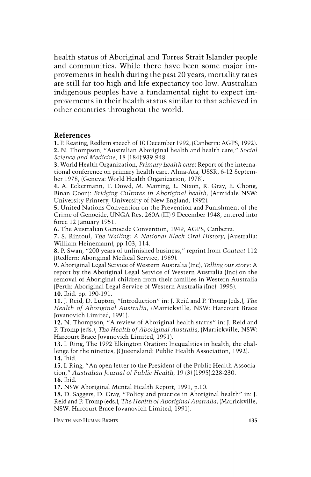**health status of Aboriginal and Torres Strait Islander people and communities. While there have been some major improvements in health during the past 20 years, mortality rates are still far too high and life expectancy too low. Australian indigenous peoples have a fundamental right to expect improvements in their health status similar to that achieved in other countries throughout the world.** 

#### **References**

**1. P. Keating, Redfern speech of 10 December 1992, (Canberra: AGPS, 1992). 2. N. Thompson, "Australian Aboriginal health and health care," Social Science and Medicine, 18 (184):939-948.** 

**3. World Health Organization, Primary health care: Report of the international conference on primary health care. Alma-Ata, USSR, 6-12 September 1978, (Geneva: World Health Organization, 1978).** 

**4. A. Eckermann, T. Dowd, M. Marting, L. Nixon, R. Gray, E. Chong, Binan Goonj: Bridging Cultures in Aboriginal health, (Armidale NSW: University Printery, University of New England, 1992).** 

**5. United Nations Convention on the Prevention and Punishment of the Crime of Genocide, UNGA Res. 260A (III) 9 December 1948, entered into force 12 January 1951.** 

**6. The Australian Genocide Convention, 1949, AGPS, Canberra.** 

**7. S. Rintoul, The Wailing: A National Black Oral History, (Australia: William Heinemann), pp. l03, 114.** 

**8. P. Swan, "200 years of unfinished business," reprint from Contact 112 (Redfern: Aboriginal Medical Service, 1989).** 

**9. Aboriginal Legal Service of Western Australia (Inc), Telling our story: A report by the Aboriginal Legal Service of Western Australia (Inc) on the removal of Aboriginal children from their families in Western Australia (Perth: Aboriginal Legal Service of Western Australia (Inc): 1995). 10. Ibid. pp. 190-191.** 

**11. J. Reid, D. Lupton, "Introduction" in: J. Reid and P. Tromp (eds.), The Health of Aboriginal Australia, (Marrickville, NSW: Harcourt Brace Jovanovich Limited, 1991).** 

**12. N. Thompson, "A review of Aboriginal health status" in: J. Reid and P. Tromp (eds.), The Health of Aboriginal Australia, (Marrickville, NSW: Harcourt Brace Jovanovich Limited, 1991).** 

**13. 1. Ring, The 1992 Elkington Oration: Inequalities in health, the challenge for the nineties, (Queensland: Public Health Association, 1992). 14. Ibid.** 

**15. 1. Ring, "An open letter to the President of the Public Health Association," Australian Journal of Public Health, 19 (3) (1995):228-230. 16. Ibid.** 

**17. NSW Aboriginal Mental Health Report, 1991, p. 10.** 

**18. D. Saggers, D. Gray, "Policy and practice in Aboriginal health" in: J. Reid and P. Tromp (eds.), The Health of Aboriginal Australia, (Marrickville, NSW: Harcourt Brace Jovanovich Limited, 1991).** 

**HEALTH AND HUMAN RIGHTS 135**